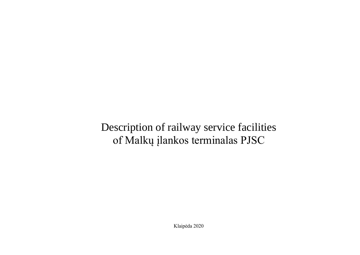## Description of railway service facilities of Malkų įlankos terminalas PJSC

Klaipėda 2020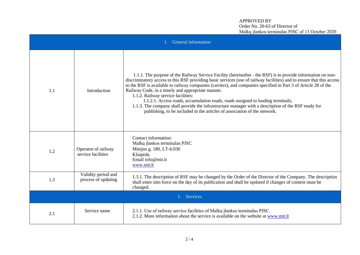## APPROVED BY Order No. 20-63 of Director of Malkų įlankos terminalas PJSC of 13 October 2020

| 1. General information |                                            |                                                                                                                                                                                                                                                                                                                                                                                                                                                                                                                                                                                                                                                                                                                            |  |  |  |
|------------------------|--------------------------------------------|----------------------------------------------------------------------------------------------------------------------------------------------------------------------------------------------------------------------------------------------------------------------------------------------------------------------------------------------------------------------------------------------------------------------------------------------------------------------------------------------------------------------------------------------------------------------------------------------------------------------------------------------------------------------------------------------------------------------------|--|--|--|
| 1.1                    | Introduction                               | 1.1.1. The purpose of the Railway Service Facility (hereinafter - the RSF) is to provide information on non-<br>discriminatory access to this RSF providing basic services (use of railway facilities) and to ensure that this access<br>to the RSF is available to railway companies (carriers), and companies specified in Part 3 of Article 28 of the<br>Railway Code, in a timely and appropriate manner.<br>1.1.2. Railway service facilities:<br>1.1.2.1. Access roads, accumulation roads, roads assigned to loading terminals;<br>1.1.3. The company shall provide the infrastructure manager with a description of the RSF ready for<br>publishing, to be included in the articles of association of the network. |  |  |  |
| 1.2                    | Operator of railway<br>service facilities  | Contact information:<br>Malkų įlankos terminalas PJSC<br>Minijos g. 180, LT-6.036<br>Klaipėda<br>Email info@mit.lt<br>www.mit.lt                                                                                                                                                                                                                                                                                                                                                                                                                                                                                                                                                                                           |  |  |  |
| 1.3                    | Validity period and<br>process of updating | 1.3.1. The description of RSF may be changed by the Order of the Director of the Company. The description<br>shall enter into force on the day of its publication and shall be updated if changes of content must be<br>changed.                                                                                                                                                                                                                                                                                                                                                                                                                                                                                           |  |  |  |
| 1. Services            |                                            |                                                                                                                                                                                                                                                                                                                                                                                                                                                                                                                                                                                                                                                                                                                            |  |  |  |
| 2.1                    | Service name                               | 2.1.1. Use of railway service facilities of Malkų įlankos terminalas PJSC.<br>2.1.2. More information about the service is available on the website at www.mit.lt                                                                                                                                                                                                                                                                                                                                                                                                                                                                                                                                                          |  |  |  |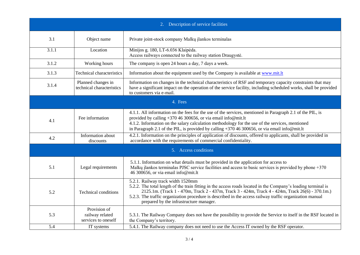| Description of service facilities<br>2. |                                                        |                                                                                                                                                                                                                                                                                                                                                                                                               |  |  |  |
|-----------------------------------------|--------------------------------------------------------|---------------------------------------------------------------------------------------------------------------------------------------------------------------------------------------------------------------------------------------------------------------------------------------------------------------------------------------------------------------------------------------------------------------|--|--|--|
| 3.1                                     | Object name                                            | Private joint-stock company Malkų įlankos terminalas                                                                                                                                                                                                                                                                                                                                                          |  |  |  |
| 3.1.1                                   | Location                                               | Minijos g. 180, LT-6.036 Klaipėda.<br>Access railways connected to the railway station Draugystė.                                                                                                                                                                                                                                                                                                             |  |  |  |
| 3.1.2                                   | Working hours                                          | The company is open 24 hours a day, 7 days a week.                                                                                                                                                                                                                                                                                                                                                            |  |  |  |
| 3.1.3                                   | <b>Technical characteristics</b>                       | Information about the equipment used by the Company is available at www.mit.lt                                                                                                                                                                                                                                                                                                                                |  |  |  |
| 3.1.4                                   | Planned changes in<br>technical characteristics        | Information on changes in the technical characteristics of RSF and temporary capacity constraints that may<br>have a significant impact on the operation of the service facility, including scheduled works, shall be provided<br>to customers via e-mail.                                                                                                                                                    |  |  |  |
| 4. Fees                                 |                                                        |                                                                                                                                                                                                                                                                                                                                                                                                               |  |  |  |
| 4.1                                     | Fee information                                        | 4.1.1. All information on the fees for the use of the services, mentioned in Paragraph 2.1 of the PIL, is<br>provided by calling +370 46 300656, or via email info@mit.lt<br>4.1.2. Information on the salary calculation methodology for the use of the services, mentioned<br>in Paragraph 2.1 of the PIL, is provided by calling +370 46 300656, or via email info@mit.lt                                  |  |  |  |
| 4.2                                     | Information about<br>discounts                         | 4.2.1. Information on the principles of application of discounts, offered to applicants, shall be provided in<br>accordance with the requirements of commercial confidentiality.                                                                                                                                                                                                                              |  |  |  |
| 5. Access conditions                    |                                                        |                                                                                                                                                                                                                                                                                                                                                                                                               |  |  |  |
| 5.1                                     | Legal requirements                                     | 5.1.1. Information on what details must be provided in the application for access to<br>Malkų įlankos terminalas PJSC service facilities and access to basic services is provided by phone +370<br>46 300656, or via email info@mit.lt                                                                                                                                                                        |  |  |  |
| 5.2                                     | <b>Technical conditions</b>                            | 5.2.1. Railway track width 1520mm<br>5.2.2. The total length of the train fitting in the access roads located in the Company's loading terminal is<br>2125.1m. (Track 1 - 470m, Track 2 - 437m, Track 3 - 424m, Track 4 - 424m, Track 26(6) - 370.1m.)<br>5.2.3. The traffic organization procedure is described in the access railway traffic organization manual<br>prepared by the infrastructure manager. |  |  |  |
| 5.3                                     | Provision of<br>railway related<br>services to oneself | 5.3.1. The Railway Company does not have the possibility to provide the Service to itself in the RSF located in<br>the Company's territory.                                                                                                                                                                                                                                                                   |  |  |  |
| 5.4                                     | IT systems                                             | 5.4.1. The Railway company does not need to use the Access IT owned by the RSF operator.                                                                                                                                                                                                                                                                                                                      |  |  |  |